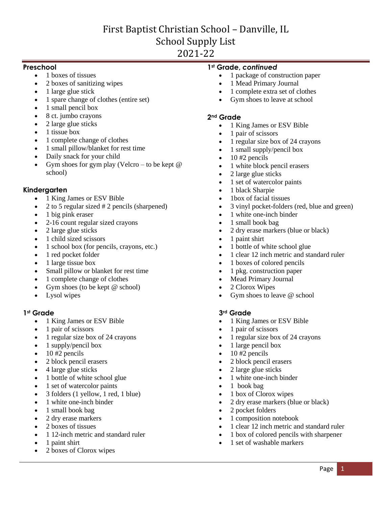# First Baptist Christian School – Danville, IL School Supply List 2021-22

### **Preschool**

- 1 boxes of tissues
- 2 boxes of sanitizing wipes
- 1 large glue stick
- 1 spare change of clothes (entire set)
- 1 small pencil box
- 8 ct. jumbo crayons
- 2 large glue sticks
- 1 tissue box
- 1 complete change of clothes
- 1 small pillow/blanket for rest time
- Daily snack for your child
- Gym shoes for gym play (Velcro to be kept  $@$ school)

# **Kindergarten**

- 1 King James or ESV Bible
- 2 to 5 regular sized # 2 pencils (sharpened)
- 1 big pink eraser
- 2-16 count regular sized crayons
- 2 large glue sticks
- 1 child sized scissors
- 1 school box (for pencils, crayons, etc.)
- 1 red pocket folder
- 1 large tissue box
- Small pillow or blanket for rest time
- 1 complete change of clothes
- Gym shoes (to be kept @ school)
- Lysol wipes

### **1st Grade**

- 1 King James or ESV Bible
- 1 pair of scissors
- 1 regular size box of 24 crayons
- 1 supply/pencil box
- 10 #2 pencils
- 2 block pencil erasers
- 4 large glue sticks
- 1 bottle of white school glue
- 1 set of watercolor paints
- 3 folders (1 yellow, 1 red, 1 blue)
- 1 white one-inch binder
- 1 small book bag
- 2 dry erase markers
- 2 boxes of tissues
- 1 12-inch metric and standard ruler
- 1 paint shirt
- 2 boxes of Clorox wipes

### **1st Grade,** *continued*

- 1 package of construction paper
- 1 Mead Primary Journal
- 1 complete extra set of clothes
- Gym shoes to leave at school

### **2nd Grade**

- 1 King James or ESV Bible
- 1 pair of scissors
- 1 regular size box of 24 crayons
- $\bullet$  1 small supply/pencil box
- $\bullet$  10 #2 pencils
- 1 white block pencil erasers
- 2 large glue sticks
- 1 set of watercolor paints
- 1 black Sharpie
- 1box of facial tissues
- 3 vinyl pocket-folders (red, blue and green)
- 1 white one-inch binder
- 1 small book bag
- 2 dry erase markers (blue or black)
- $\bullet$  1 paint shirt
- 1 bottle of white school glue
- 1 clear 12 inch metric and standard ruler
- 1 boxes of colored pencils
- 1 pkg. construction paper
- Mead Primary Journal
- 2 Clorox Wipes
- Gym shoes to leave @ school

### **3rd Grade**

- 1 King James or ESV Bible
- 1 pair of scissors
- 1 regular size box of 24 crayons
- $\bullet$  1 large pencil box
- $\bullet$  10 #2 pencils
- 2 block pencil erasers
- 2 large glue sticks
- 1 white one-inch binder
- 1 book bag
- 1 box of Clorox wipes
- 2 dry erase markers (blue or black)
- 2 pocket folders
- 1 composition notebook
- 1 clear 12 inch metric and standard ruler
- 1 box of colored pencils with sharpener
- 1 set of washable markers